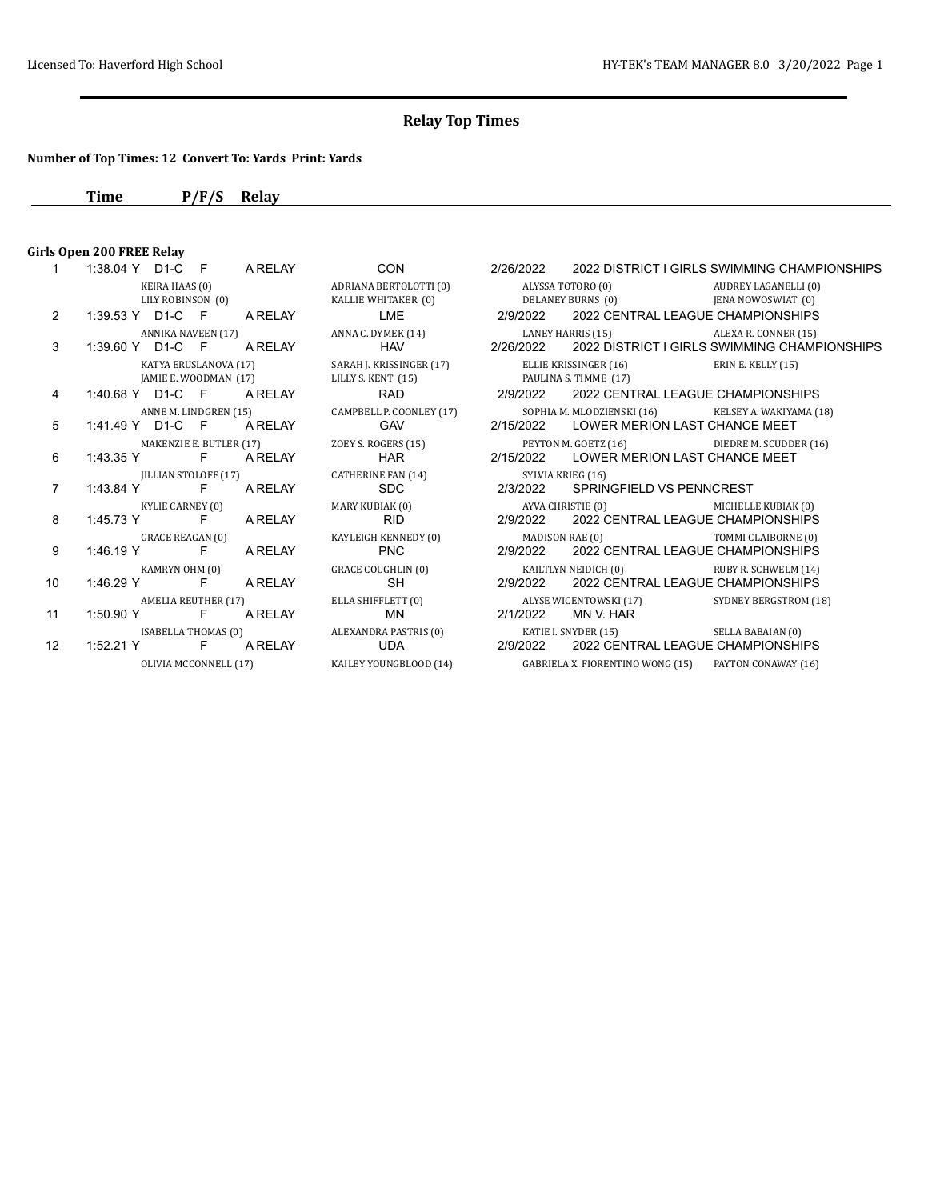## **Number of Top Times: 12 Convert To: Yards Print: Yards**

**Time P/F/S Relay**

## **Girls Open 200 FREE Relay**<br>1 1:38.04 Y D1-C

|                | $1.00.07 + 1$                                  |                |                                                | $\sim$                                                                       |                   | LILOILOLL LOLL DIOTI                           |
|----------------|------------------------------------------------|----------------|------------------------------------------------|------------------------------------------------------------------------------|-------------------|------------------------------------------------|
|                |                                                | KEIRA HAAS (0) | LILY ROBINSON (0)                              | ADRIANA BERTOLOTTI (0)<br>KALLIE WHITAKER (0) DELANEY BURNS (0)              | ALYSSA TOTORO (0) |                                                |
| $\overline{2}$ | 1:39.53 Y D1-C F A RELAY                       |                |                                                | <b>LME</b>                                                                   | 2/9/2022          | <b>2022 CENT</b>                               |
|                |                                                |                | ANNIKA NAVEEN (17)                             | ANNA C. DYMEK (14) LANEY HARRIS (15)                                         |                   |                                                |
| 3              | 1:39.60 Y D1-C F A RELAY                       |                |                                                | <b>HAV</b>                                                                   | 2/26/2022         | <b>2022 DISTR</b>                              |
|                |                                                |                | KATYA ERUSLANOVA (17)<br>JAMIE E. WOODMAN (17) | SARAH J. KRISSINGER (17)<br>LILLY S. KENT (15)                               |                   | ELLIE KRISSINGER (16)<br>PAULINA S. TIMME (17) |
| 4              | 1:40.68 Y D1-C F A RELAY                       |                |                                                | <b>RAD</b>                                                                   |                   | 2/9/2022 2022 CENT                             |
| 5              | 1:41.49 Y D1-C F A RELAY                       |                |                                                | ANNE M. LINDGREN (15) CAMPBELL P. COONLEY (17)<br><b>GAV</b>                 |                   | SOPHIA M. MLODZIENSKI<br>2/15/2022 LOWER ME    |
| 6              | 1:43.35 Y F A RELAY                            |                | MAKENZIE E. BUTLER (17)                        | ZOEY S. ROGERS (15)<br>HAR                                                   |                   | PEYTON M. GOETZ (16)<br>2/15/2022 LOWER ME     |
| $\overline{7}$ | 1:43.84 Y F A RELAY                            |                | <b>IILLIAN STOLOFF (17)</b>                    | CATHERINE FAN (14)<br><b>SDC</b>                                             | 2/3/2022          | SYLVIA KRIEG (16)<br><b>SPRINGFIE</b>          |
| 8              | <b>KYLIE CARNEY (0)</b><br>1:45.73 Y F A RELAY |                |                                                | MARY KUBIAK (0)<br><b>RID</b>                                                |                   | AYVA CHRISTIE (0)<br>2/9/2022 2022 CENT        |
| 9              | <b>GRACE REAGAN (0)</b><br>1:46.19 Y F A RELAY |                |                                                | KAYLEIGH KENNEDY (0)<br><b>EXAMPLE PNC</b>                                   | 2/9/2022          | MADISON RAE (0)<br><b>2022 CENT</b>            |
| 10             | KAMRYN OHM (0)<br>1:46.29 Y F A RELAY          |                |                                                | GRACE COUGHLIN (0)<br>SH                                                     | 2/9/2022          | KAILTLYN NEIDICH (0)<br><b>2022 CENT</b>       |
| 11             | 1:50.90 Y F A RELAY                            |                | AMELIA REUTHER (17)                            | ELLA SHIFFLETT (0)<br>MN                                                     | 2/1/2022          | ALYSE WICENTOWSKI (1)<br>MN V. HAR             |
| 12             | 1:52.21 Y F A RELAY                            |                |                                                | ISABELLA THOMAS (0) ALEXANDRA PASTRIS (0) KATIE I. SNYDER (15)<br><b>UDA</b> |                   | 2/9/2022 2022 CENT                             |
|                |                                                |                |                                                | OLIVIA MCCONNELL (17)         KAILEY YOUNGBLOOD (14)                         |                   | <b>GABRIELA X. FIORENTIN</b>                   |

|                | 1:38.04 Y D1-C F<br>A RELAY                          | <b>CON</b>                                     | 2/26/2022<br>2022 DISTRICT I GIRLS SWIMMING CHAMPIONSHIPS                                                                 |                       |
|----------------|------------------------------------------------------|------------------------------------------------|---------------------------------------------------------------------------------------------------------------------------|-----------------------|
|                | KEIRA HAAS (0)<br>LILY ROBINSON (0)                  | ADRIANA BERTOLOTTI (0)<br>KALLIE WHITAKER (0)  | ALYSSA TOTORO (0) AUDREY LAGANELLI (0)<br>DELANEY BURNS (0) JENA NOWOSWIAT (0)                                            |                       |
| $\mathcal{P}$  | 1:39.53 Y D1-C F A RELAY                             | LME                                            | 2/9/2022<br>2022 CENTRAL LEAGUE CHAMPIONSHIPS                                                                             |                       |
| 3              | ANNIKA NAVEEN (17)<br>1:39.60 Y D1-C F<br>A RELAY    | ANNA C. DYMEK (14)<br><b>HAV</b>               | LANEY HARRIS (15) ALEXA R. CONNER (15)<br>2/26/2022<br>2022 DISTRICT I GIRLS SWIMMING CHAMPIONSHIPS                       |                       |
|                | KATYA ERUSLANOVA (17)<br>JAMIE E. WOODMAN (17)       | SARAH J. KRISSINGER (17)<br>LILLY S. KENT (15) | ELLIE KRISSINGER (16)<br>PAULINA S. TIMME (17)                                                                            | ERIN E. KELLY (15)    |
| 4              | 1:40.68 Y D1-C F A RELAY                             | <b>RAD</b>                                     | 2/9/2022 2022 CENTRAL LEAGUE CHAMPIONSHIPS                                                                                |                       |
| 5              | ANNE M. LINDGREN (15)<br>1:41.49 Y D1-C F<br>A RELAY | GAV                                            | CAMPBELL P. COONLEY (17) SOPHIA M. MLODZIENSKI (16) KELSEY A. WAKIYAMA (18)<br>2/15/2022<br>LOWER MERION LAST CHANCE MEET |                       |
| 6              | MAKENZIE E. BUTLER (17)<br>1:43.35 Y F A RELAY       | HAR                                            | ZOEY S. ROGERS (15) PEYTON M. GOETZ (16) DIEDRE M. SCUDDER (16)<br>2/15/2022 LOWER MERION LAST CHANCE MEET                |                       |
| $\overline{7}$ | IILLIAN STOLOFF (17)<br>1:43.84 Y F<br>A RELAY       | CATHERINE FAN (14)<br><b>SDC</b>               | SYLVIA KRIEG (16)<br>2/3/2022<br>SPRINGFIELD VS PENNCREST                                                                 |                       |
| 8              | KYLIE CARNEY (0)<br>1:45.73 Y F A RELAY              | MARY KUBIAK (0)<br><b>RID</b>                  | AYVA CHRISTIE (0)<br>2/9/2022 2022 CENTRAL LEAGUE CHAMPIONSHIPS                                                           | MICHELLE KUBIAK (0)   |
| 9              | GRACE REAGAN (0)<br>1:46.19 Y F<br>A RELAY           | KAYLEIGH KENNEDY (0)<br><b>PNC</b>             | MADISON RAE (0) TOMMI CLAIBORNE (0)<br>2/9/2022 2022 CENTRAL LEAGUE CHAMPIONSHIPS                                         |                       |
| 10             | KAMRYN OHM (0)<br>1:46.29 Y F<br>A RELAY             | <b>GRACE COUGHLIN (0)</b><br>SH                | KAILTLYN NEIDICH (0)<br>2022 CENTRAL LEAGUE CHAMPIONSHIPS<br>2/9/2022                                                     | RUBY R. SCHWELM (14)  |
| 11             | AMELIA REUTHER (17)<br>1:50.90 Y F A RELAY           | ELLA SHIFFLETT (0)<br>MN                       | ALYSE WICENTOWSKI (17)<br>2/1/2022<br>MN V. HAR                                                                           | SYDNEY BERGSTROM (18) |
|                | ISABELLA THOMAS (0) ALEXANDRA PASTRIS (0)            |                                                | KATIE I. SNYDER (15) SELLA BABAIAN (0)                                                                                    |                       |
| 12             | 1:52.21 Y F A RELAY                                  | UDA                                            | 2/9/2022<br>2022 CENTRAL LEAGUE CHAMPIONSHIPS                                                                             |                       |
|                | OLIVIA MCCONNELL (17)                                | KAILEY YOUNGBLOOD (14)                         | GABRIELA X. FIORENTINO WONG (15) PAYTON CONAWAY (16)                                                                      |                       |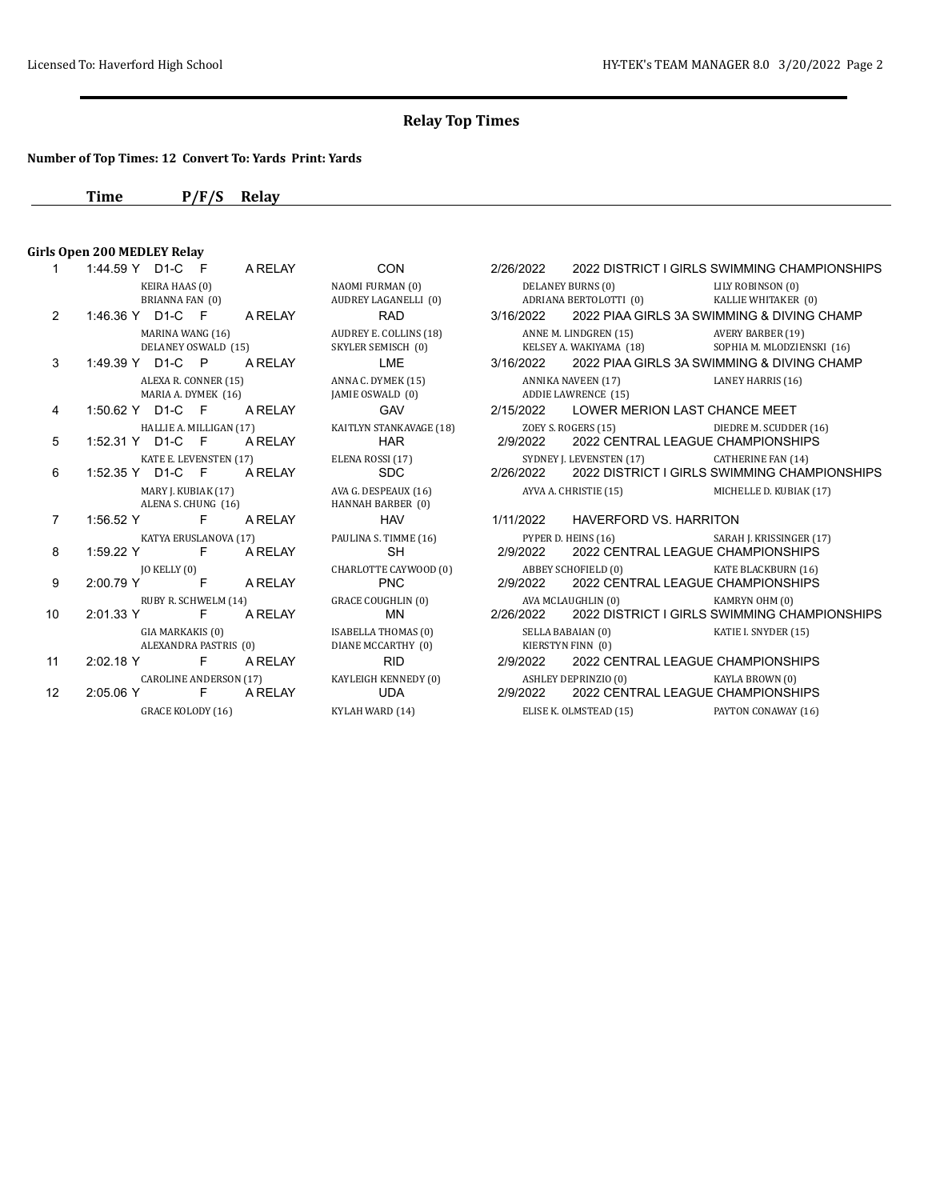## **Number of Top Times: 12 Convert To: Yards Print: Yards**

**Time P/F/S Relay**

# **Girls Open 200 MEDLEY Relay**<br>1 1:44.59 Y D1-C F

| 1             | 1:44.59 Y D1-C F            | A RELAY                                            | CON                                              | 2/26/2022 |                                                             | 2022 DISTRICT I GIRLS SWIMMING CHAMPIONSHIPS                                      |
|---------------|-----------------------------|----------------------------------------------------|--------------------------------------------------|-----------|-------------------------------------------------------------|-----------------------------------------------------------------------------------|
|               | KEIRA HAAS (0)              | BRIANNA FAN (0)                                    | NAOMI FURMAN (0)<br>AUDREY LAGANELLI (0)         |           | DELANEY BURNS (0)<br>ADRIANA BERTOLOTTI (0)                 | LILY ROBINSON (0)<br>KALLIE WHITAKER (0)                                          |
| $\mathcal{P}$ | 1:46.36 Y D1-C F            | A RELAY                                            | <b>RAD</b>                                       | 3/16/2022 |                                                             | 2022 PIAA GIRLS 3A SWIMMING & DIVING CHAMP                                        |
|               |                             | MARINA WANG (16)<br>DELANEY OSWALD (15)            | AUDREY E. COLLINS (18)<br>SKYLER SEMISCH (0)     |           | ANNE M. LINDGREN (15)<br>KELSEY A. WAKIYAMA (18)            | <b>AVERY BARBER (19)</b><br>SOPHIA M. MLODZIENSKI (16)                            |
| 3             | 1:49.39 Y D1-C P            | A RELAY                                            | LME                                              | 3/16/2022 |                                                             | 2022 PIAA GIRLS 3A SWIMMING & DIVING CHAMP                                        |
|               |                             | ALEXA R. CONNER (15)<br>MARIA A. DYMEK (16)        | ANNA C. DYMEK (15)<br>JAMIE OSWALD (0)           |           | ANNIKA NAVEEN (17) LANEY HARRIS (16)<br>ADDIE LAWRENCE (15) |                                                                                   |
| 4             | 1:50.62 Y D1-C F            | A RELAY                                            | <b>GAV</b>                                       | 2/15/2022 | LOWER MERION LAST CHANCE MEET                               |                                                                                   |
| 5             | 1:52.31 Y D1-C F            | HALLIE A. MILLIGAN (17)<br>A RELAY                 | KAITLYN STANKAVAGE (18)<br><b>HAR</b>            | 2/9/2022  |                                                             | ZOEY S. ROGERS (15) DIEDRE M. SCUDDER (16)<br>2022 CENTRAL LEAGUE CHAMPIONSHIPS   |
| 6             |                             | KATE E. LEVENSTEN (17)<br>1:52.35 Y D1-C F A RELAY | ELENA ROSSI (17)<br><b>SDC</b>                   |           | SYDNEY J. LEVENSTEN (17)                                    | CATHERINE FAN (14)<br>2/26/2022 2022 DISTRICT I GIRLS SWIMMING CHAMPIONSHIPS      |
|               |                             | MARY J. KUBIAK (17)<br>ALENA S. CHUNG (16)         | AVA G. DESPEAUX (16)<br>HANNAH BARBER (0)        |           | AYVA A. CHRISTIE (15)                                       | MICHELLE D. KUBIAK (17)                                                           |
| 7             | $1:56.52$ Y                 | $F =$<br>A RELAY                                   | <b>HAV</b>                                       | 1/11/2022 | HAVERFORD VS. HARRITON                                      |                                                                                   |
| 8             | 1:59.22 Y F                 | KATYA ERUSLANOVA (17)<br>A RELAY                   | PAULINA S. TIMME (16)<br><b>SH</b>               | 2/9/2022  |                                                             | PYPER D. HEINS (16) SARAH J. KRISSINGER (17)<br>2022 CENTRAL LEAGUE CHAMPIONSHIPS |
| 9             | JO KELLY (0)<br>2:00.79 Y F | A RELAY                                            | CHARLOTTE CAYWOOD (0)<br><b>PNC</b>              | 2/9/2022  | ABBEY SCHOFIELD (0)                                         | KATE BLACKBURN (16)<br>2022 CENTRAL LEAGUE CHAMPIONSHIPS                          |
| 10            | $2:01.33 \text{ Y}$         | RUBY R. SCHWELM (14)<br>F.<br>A RELAY              | <b>GRACE COUGHLIN (0)</b><br>MN                  | 2/26/2022 | AVA MCLAUGHLIN (0)                                          | KAMRYN OHM (0)<br>2022 DISTRICT I GIRLS SWIMMING CHAMPIONSHIPS                    |
|               | GIA MARKAKIS (0)            | ALEXANDRA PASTRIS (0)                              | <b>ISABELLA THOMAS (0)</b><br>DIANE MCCARTHY (0) |           | SELLA BABAIAN (0)<br>KIERSTYN FINN (0)                      | KATIE I. SNYDER (15)                                                              |
| 11            | $2:02.18$ Y F               | A RELAY                                            | <b>RID</b>                                       | 2/9/2022  |                                                             | 2022 CENTRAL LEAGUE CHAMPIONSHIPS                                                 |
| 12            |                             | CAROLINE ANDERSON (17)<br>2:05.06 Y F A RELAY      | KAYLEIGH KENNEDY (0)<br>UDA                      | 2/9/2022  | ASHLEY DEPRINZIO (0) KAYLA BROWN (0)                        | 2022 CENTRAL LEAGUE CHAMPIONSHIPS                                                 |
|               |                             | $CD$ $AC$ $U$ $A$ $CD$ $CD$ $U$ $A$ $C$ $C$        | $I/NI$ ALL LATA D.D. $(A, A)$                    |           | ELICE V. OLMOPEAD (45)                                      | <b>DAVEOM COMARIAV (1.6)</b>                                                      |

|                | KEIRA HAAS (0)                                      | NAOMI FURMAN (0)                                 | DELANEY BURNS (0) LILY ROBINSON (0)                                                         |  |
|----------------|-----------------------------------------------------|--------------------------------------------------|---------------------------------------------------------------------------------------------|--|
|                | BRIANNA FAN (0)                                     |                                                  | AUDREY LAGANELLI (0) ADRIANA BERTOLOTTI (0)<br>KALLIE WHITAKER (0)                          |  |
| $\overline{2}$ | 1:46.36 Y D1-C F A RELAY                            | RAD                                              | 3/16/2022 2022 PIAA GIRLS 3A SWIMMING & DIVING CHAMP                                        |  |
|                | MARINA WANG (16)                                    | AUDREY E. COLLINS (18)                           | ANNE M. LINDGREN (15) AVERY BARBER (19)                                                     |  |
|                | DELANEY OSWALD (15)                                 | SKYLER SEMISCH (0)                               | KELSEY A. WAKIYAMA (18)<br>SOPHIA M. MLODZIENSKI (16)                                       |  |
| 3              | 1:49.39 Y D1-C P A RELAY                            | LME                                              | 3/16/2022 2022 PIAA GIRLS 3A SWIMMING & DIVING CHAMP                                        |  |
|                | ALEXA R. CONNER (15)<br>MARIA A. DYMEK (16)         | ANNA C. DYMEK (15)<br>JAMIE OSWALD (0)           | ANNIKA NAVEEN (17) LANEY HARRIS (16)<br>ADDIE LAWRENCE (15)                                 |  |
| 4              | 1:50.62 Y D1-C F A RELAY                            | GAV                                              | 2/15/2022 LOWER MERION LAST CHANCE MEET                                                     |  |
| 5              | HALLIE A. MILLIGAN (17)<br>1:52.31 Y D1-C F A RELAY | KAITLYN STANKAVAGE (18)<br><b>HAR</b>            | ZOEY S. ROGERS (15) DIEDRE M. SCUDDER (16)<br>2022 CENTRAL LEAGUE CHAMPIONSHIPS<br>2/9/2022 |  |
|                | KATE E. LEVENSTEN (17)                              |                                                  | SYDNEY J. LEVENSTEN (17)<br><b>CATHERINE FAN (14)</b>                                       |  |
| 6              | 1:52.35 Y D1-C F A RELAY                            | ELENA ROSSI (17)<br>SDC 2/2                      | 2/26/2022 2022 DISTRICT I GIRLS SWIMMING CHAMPIONSHIPS                                      |  |
|                | MARY J. KUBIAK (17)<br>ALENA S. CHUNG (16)          | AVA G. DESPEAUX (16)<br>HANNAH BARBER (0)        | AYVA A. CHRISTIE (15) MICHELLE D. KUBIAK (17)                                               |  |
| $\overline{7}$ | 1:56.52 Y F A RELAY                                 | <b>HAV</b>                                       | 1/11/2022 HAVERFORD VS. HARRITON                                                            |  |
|                | KATYA ERUSLANOVA (17)                               | PAULINA S. TIMME (16)                            | PYPER D. HEINS (16)<br>SARAH J. KRISSINGER (17)                                             |  |
| 8              | 1:59.22 Y F A RELAY                                 | SH                                               | 2022 CENTRAL LEAGUE CHAMPIONSHIPS<br>2/9/2022                                               |  |
|                | JO KELLY (0)                                        | CHARLOTTE CAYWOOD (0)                            | ABBEY SCHOFIELD (0) KATE BLACKBURN (16)                                                     |  |
| 9              | 2:00.79 Y F A RELAY                                 | <b>PNC</b>                                       | 2/9/2022<br>2022 CENTRAL LEAGUE CHAMPIONSHIPS                                               |  |
|                | RUBY R. SCHWELM (14)                                | <b>GRACE COUGHLIN (0)</b>                        | AVA MCLAUGHLIN (0)<br>KAMRYN OHM (0)                                                        |  |
| 10             | 2:01.33 Y F A RELAY                                 | MN                                               | 2/26/2022 2022 DISTRICT I GIRLS SWIMMING CHAMPIONSHIPS                                      |  |
|                | GIA MARKAKIS (0)<br>ALEXANDRA PASTRIS (0)           | <b>ISABELLA THOMAS (0)</b><br>DIANE MCCARTHY (0) | SELLA BABAIAN (0) KATIE I. SNYDER (15)<br>KIERSTYN FINN (0)                                 |  |
| 11             | 2:02.18 Y F A RELAY                                 | <b>RID</b>                                       | 2/9/2022 2022 CENTRAL LEAGUE CHAMPIONSHIPS                                                  |  |
|                | CAROLINE ANDERSON (17)                              | KAYLEIGH KENNEDY (0)                             | ASHLEY DEPRINZIO (0)<br>KAYLA BROWN (0)                                                     |  |
| 12             | 2:05.06 Y F A RELAY                                 | UDA                                              | 2022 CENTRAL LEAGUE CHAMPIONSHIPS<br>2/9/2022                                               |  |
|                | <b>GRACE KOLODY (16)</b>                            | KYLAH WARD (14)                                  | ELISE K. OLMSTEAD (15)<br>PAYTON CONAWAY (16)                                               |  |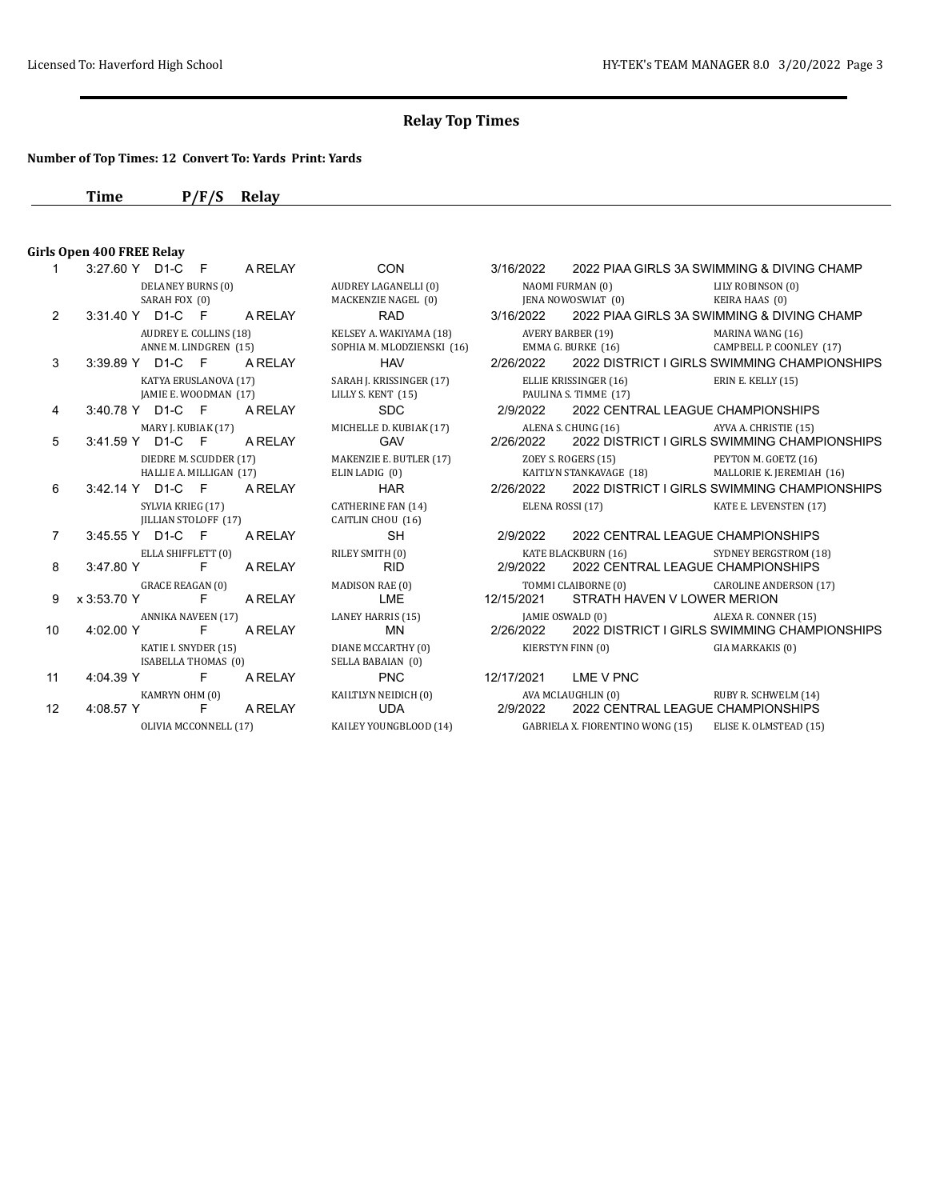#### **Number of Top Times: 12 Convert To: Yards Print: Yards**

**Time P/F/S Relay**

## **Girls Open 400 FREE Relay**

|                 | 3.21.00 I DI-C F ANCLAI                           |         | יוטט                                                  |                      |                                                                               |                                              |
|-----------------|---------------------------------------------------|---------|-------------------------------------------------------|----------------------|-------------------------------------------------------------------------------|----------------------------------------------|
|                 | DELANEY BURNS (0)<br>SARAH FOX (0)                |         | AUDREY LAGANELLI (0)<br>MACKENZIE NAGEL (0)           |                      | NAOMI FURMAN (0)<br>JENA NOWOSWIAT (0)                                        | LILY ROBINSON (0)<br>KEIRA HAAS (0)          |
| 2               | 3:31.40 Y D1-C F A RELAY                          |         | RAD                                                   |                      |                                                                               |                                              |
|                 | AUDREY E. COLLINS (18)<br>ANNE M. LINDGREN (15)   |         | KELSEY A. WAKIYAMA (18)<br>SOPHIA M. MLODZIENSKI (16) |                      | AVERY BARBER (19)<br>EMMA G. BURKE (16)                                       | MARINA WANG (16)<br>CAMPBELL P. COONLEY      |
| 3               | 3:39.89 Y D1-C F                                  | A RELAY | <b>HAV</b>                                            | 2/26/2022            | 2022 DISTRICT I GIRLS SWIMMING CHAMP                                          |                                              |
|                 | KATYA ERUSLANOVA (17)<br>JAMIE E. WOODMAN (17)    |         | SARAH J. KRISSINGER (17)<br>LILLY S. KENT (15)        |                      | ELLIE KRISSINGER (16)<br>PAULINA S. TIMME (17)                                | ERIN E. KELLY (15)                           |
| 4               | 3:40.78 Y D1-C F A RELAY                          |         | <b>SDC</b>                                            | 2/9/2022             | 2022 CENTRAL LEAGUE CHAMPIONSHIPS                                             |                                              |
| 5               | MARY J. KUBIAK (17)<br>3:41.59 Y D1-C F A RELAY   |         | MICHELLE D. KUBIAK (17)<br><b>GAV</b>                 | 2/26/2022            | ALENA S. CHUNG (16)<br>2022 DISTRICT I GIRLS SWIMMING CHAMP                   | AYVA A. CHRISTIE (15)                        |
|                 | DIEDRE M. SCUDDER (17)<br>HALLIE A. MILLIGAN (17) |         | MAKENZIE E. BUTLER (17)<br>ELIN LADIG (0)             |                      | ZOEY S. ROGERS (15)<br>KAITLYN STANKAVAGE (18)                                | PEYTON M. GOETZ (16)<br>MALLORIE K. JEREMIAH |
| 6               | 3:42.14 Y D1-C F ARELAY                           |         |                                                       |                      | HAR 2/26/2022 2022 DISTRICT I GIRLS SWIMMING CHAMP                            |                                              |
|                 | SYLVIA KRIEG (17)<br>IILLIAN STOLOFF (17)         |         | CATHERINE FAN (14)<br>CAITLIN CHOU (16)               |                      | ELENA ROSSI (17)                                                              | KATE E. LEVENSTEN (17)                       |
| $\overline{7}$  | 3:45.55 Y D1-C F                                  | A RELAY | <b>SH</b>                                             | 2/9/2022             | 2022 CENTRAL LEAGUE CHAMPIONSHIPS                                             |                                              |
| 8               | ELLA SHIFFLETT (0)<br>$3:47.80 \text{ Y}$ F       | A RELAY | RILEY SMITH (0)<br><b>RID</b>                         | 2/9/2022             | KATE BLACKBURN (16) SYDNEY BERGSTROM (18<br>2022 CENTRAL LEAGUE CHAMPIONSHIPS |                                              |
| 9               | <b>GRACE REAGAN (0)</b><br>x 3:53.70 Y<br>- F     | A RELAY | MADISON RAE (0)<br>LME                                | 12/15/2021           | TOMMI CLAIBORNE (0)<br>STRATH HAVEN V LOWER MERION                            | <b>CAROLINE ANDERSON (1</b>                  |
| 10 <sup>1</sup> | ANNIKA NAVEEN (17)<br>4.02.00 Y<br>F.             | A RELAY | LANEY HARRIS (15)<br>MN                               | 2/26/2022            | [AMIE OSWALD (0) ALEXA R. CONNER (15)<br>2022 DISTRICT I GIRLS SWIMMING CHAMP |                                              |
|                 | KATIE I. SNYDER (15)<br>ISABELLA THOMAS (0)       |         | DIANE MCCARTHY (0)<br>SELLA BABAIAN (0)               |                      | KIERSTYN FINN (0)                                                             | GIA MARKAKIS (0)                             |
| 11              | 4:04.39 Y F A RELAY                               |         | <b>PNC</b>                                            | 12/17/2021 LME V PNC |                                                                               |                                              |
| 12              | KAMRYN OHM (0)<br>4:08.57 Y F                     | A RELAY | KAILTLYN NEIDICH (0)<br>UDA                           | 2/9/2022             | AVA MCLAUGHLIN (0)<br>2022 CENTRAL LEAGUE CHAMPIONSHIPS                       | RUBY R. SCHWELM (14)                         |
|                 | OLIVIA MCCONNELL (17)                             |         | KAILEY YOUNGBLOOD (14)                                |                      | GABRIELA X. FIORENTINO WONG (15)                                              | ELISE K. OLMSTEAD (15)                       |

F A RELAY CON  $3/16/2022$  2022 PIAA GIRLS 3A SWIMMING & DIVING CHAMP AUDREY LAGANELLI (0) NAOMI FURMAN (0) LILY ROBINSON (0) MACKENZIE NAGEL (0) JENA NOWOSWIAT (0) KEIRA HAAS (0) RAD 3/16/2022 2022 PIAA GIRLS 3A SWIMMING & DIVING CHAMP KELSEY A. WAKIYAMA (18) AVERY BARBER (19) MARINA WANG (16) SOPHIA M. MLODZIENSKI (16) BMMA G. BURKE (16) CAMPBELL P. COONLEY (17) HAV 2/26/2022 2022 DISTRICT I GIRLS SWIMMING CHAMPIONSHIPS SARAH J. KRISSINGER (17) ELLIE KRISSINGER (16) ERIN E. KELLY (15) LILLY S. KENT (15) PAULINA S. TIMME (17) PAULINA S. TIMME (17) SDC 2/9/2022 2022 CENTRAL LEAGUE CHAMPIONSHIPS MICHELLE D. KUBIAK (17) ALENA S. CHUNG (16) AYVA A. CHRISTIE (15) AN A. CHRISTIE (15) AN A. CHRISTIE (15) GAV 2/26/2022 2022 DISTRICT I GIRLS SWIMMING CHAMPIONSHIPS DIEDRE M. SCUDDER (17) MAKENZIE E. BUTLER (17) ZOEY S. ROGERS (15) PEYTON M. GOETZ (16) MALLORIE K. JEREMIAH (16) HAR 2/26/2022 2022 DISTRICT I GIRLS SWIMMING CHAMPIONSHIPS CATHERINE FAN (14) ELENA ROSSI (17) KATE E. LEVENSTEN (17) SH 2/9/2022 2022 CENTRAL LEAGUE CHAMPIONSHIPS RILEY SMITH (0) KATE BLACKBURN (16) SYDNEY BERGSTROM (18) RID 2/9/2022 2022 CENTRAL LEAGUE CHAMPIONSHIPS MADISON RAE (0) TOMMI CLAIBORNE (0) CAROLINE ANDERSON (17) LME 12/15/2021 STRATH HAVEN V LOWER MERION LANEY HARRIS (15) [AMIE OSWALD (0) ALEXA R. CONNER (15) MN 2/26/2022 2022 DISTRICT I GIRLS SWIMMING CHAMPIONSHIPS DIANE MCCARTHY (0) KIERSTYN FINN (0) GIA MARKAKIS (0) PNC 12/17/2021 LME V PNC KAILTLYN NEIDICH (0) AVA MCLAUGHLIN (0) RUBY R. SCHWELM (14) UDA 2/9/2022 2022 CENTRAL LEAGUE CHAMPIONSHIPS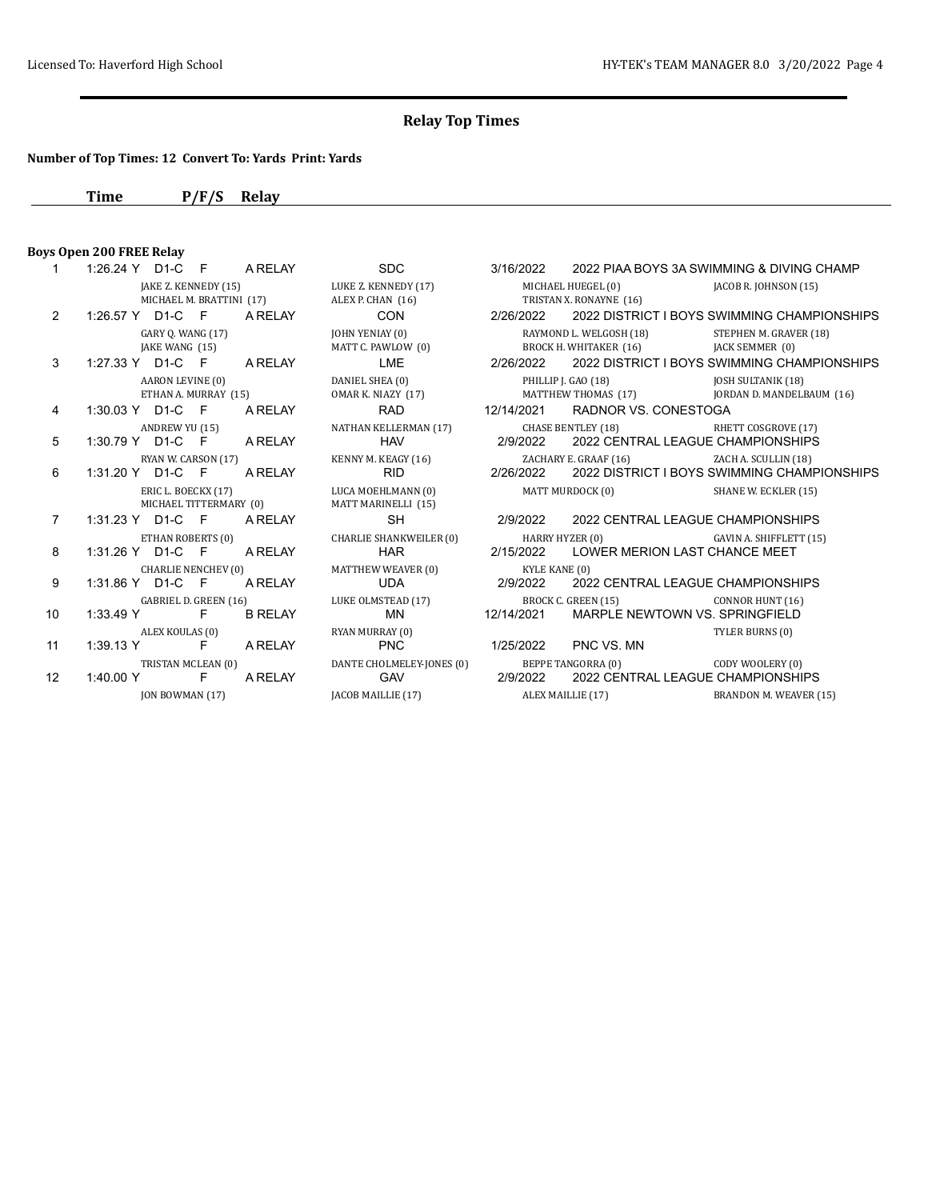## **Number of Top Times: 12 Convert To: Yards Print: Yards**

**Time P/F/S Relay**

#### **Boys Open 200 FREE Relay**

|                |                        | $1.20.2 + 1$ $1.20.2 + 1$ |                                                |           | <u>UZUZZ ZUZZILIAA DOTU UNUVIIVIIV</u> |            |
|----------------|------------------------|---------------------------|------------------------------------------------|-----------|----------------------------------------|------------|
|                |                        |                           | JAKE Z. KENNEDY (15) LUKE Z. KENNEDY (17)      |           | MICHAEL HUEGEL (0) JAC                 |            |
|                |                        | MICHAEL M. BRATTINI (17)  | ALEX P. CHAN (16)                              |           | TRISTAN X. RONAYNE (16)                |            |
| $\overline{2}$ |                        | 1:26.57 Y D1-C F ARELAY   | CON 2/26/2022 2022 DISTRICT I BOYS SWI         |           |                                        |            |
|                | GARY Q. WANG (17)      |                           | JOHN YENIAY (0)                                |           | RAYMOND L. WELGOSH (18)                | <b>STE</b> |
|                |                        | JAKE WANG (15)            | MATT C. PAWLOW (0)                             |           | BROCK H. WHITAKER (16) JAC             |            |
| 3              |                        | $1:27.33$ Y D1-C F ARELAY | LME 2/26/2022 2022 DISTRICT I BOYS SWI         |           |                                        |            |
|                | AARON LEVINE (0)       |                           | DANIEL SHEA (0)                                |           | PHILLIP J. GAO (18)                    | IOS        |
|                |                        | ETHAN A. MURRAY (15)      | OMAR K. NIAZY (17) MATTHEW THOMAS (17) JOR     |           |                                        |            |
| $\overline{4}$ |                        | 1:30.03 Y D1-C F A RELAY  | <b>RAD</b>                                     |           | 12/14/2021 RADNOR VS. CONESTOGA        |            |
|                | ANDREW YU (15)         |                           | NATHAN KELLERMAN (17)                          |           | CHASE BENTLEY (18)                     | RHI        |
| 5              |                        | 1:30.79 Y D1-C F ARELAY   |                                                |           | HAV 2/9/2022 2022 CENTRAL LEAGUE CH    |            |
|                | RYAN W. CARSON (17)    |                           | KENNY M. KEAGY (16)                            |           | ZACHARY E. GRAAF (16) ZAC              |            |
| 6              |                        | 1:31.20 Y D1-C F A RELAY  | RID.                                           |           | 2/26/2022 2022 DISTRICT I BOYS SWI     |            |
|                |                        | ERIC L. BOECKX (17)       | LUCA MOEHLMANN (0) MATT MURDOCK (0) SHA        |           |                                        |            |
|                |                        | MICHAEL TITTERMARY (0)    | MATT MARINELLI (15)                            |           |                                        |            |
| $\overline{7}$ |                        | 1:31.23 Y D1-C F A RELAY  | <b>SH</b>                                      |           | 2/9/2022 2022 CENTRAL LEAGUE CH        |            |
|                | ETHAN ROBERTS (0)      |                           | CHARLIE SHANKWEILER (0) HARRY HYZER (0)        |           |                                        | GAV        |
| 8              |                        | 1:31.26 Y D1-C F A RELAY  | <b>HAR</b>                                     |           | 2/15/2022 LOWER MERION LAST CHA        |            |
|                |                        | CHARLIE NENCHEV (0)       | MATTHEW WEAVER (0)                             |           | KYLE KANE (0)                          |            |
| 9              |                        | 1:31.86 Y D1-C F A RELAY  | <b>UDA</b>                                     |           | 2/9/2022 2022 CENTRAL LEAGUE CH        |            |
|                |                        | GABRIEL D. GREEN (16)     |                                                |           | BROCK C. GREEN (15) COM                |            |
| 10             |                        | 1:33.49 Y F B RELAY       | LUKE OLMSTEAD (17) BROCK C. C<br>MN 12/14/2021 |           | MARPLE NEWTOWN VS. SI                  |            |
|                | ALEX KOULAS (0)        |                           | RYAN MURRAY (0)                                |           |                                        | TYL        |
| 11             |                        | 1:39.13 Y F A RELAY       | <b>PNC</b>                                     | 1/25/2022 | PNC VS. MN                             |            |
|                | TRISTAN MCLEAN (0)     |                           | DANTE CHOLMELEY-JONES (0) BEPPE TANGORRA (0)   |           |                                        | COL        |
| 12             |                        | 1:40.00 Y F A RELAY       | GAV 2/9/2022                                   |           | 2022 CENTRAL LEAGUE CH                 |            |
|                | <b>JON BOWMAN (17)</b> |                           | JACOB MAILLIE (17) ALEX MAILLIE (17)           |           |                                        | BR/        |

|                   | 1:26.24 Y D1-C F A RELAY   |                          | <b>SDC</b>                                                     | 3/16/2022     |                                          | 2022 PIAA BOYS 3A SWIMMING & DIVING CHAMP             |
|-------------------|----------------------------|--------------------------|----------------------------------------------------------------|---------------|------------------------------------------|-------------------------------------------------------|
|                   |                            | JAKE Z. KENNEDY (15)     | LUKE Z. KENNEDY (17)                                           |               | MICHAEL HUEGEL (0) JACOB R. JOHNSON (15) |                                                       |
|                   |                            | MICHAEL M. BRATTINI (17) | ALEX P. CHAN (16)                                              |               | TRISTAN X. RONAYNE (16)                  |                                                       |
| $\mathcal{P}$     | 1:26.57 Y D1-C F A RELAY   |                          | <b>CON</b>                                                     | 2/26/2022     |                                          | 2022 DISTRICT I BOYS SWIMMING CHAMPIONSHIPS           |
|                   | GARY 0. WANG (17)          |                          | <b>JOHN YENIAY (0)</b>                                         |               | RAYMOND L. WELGOSH (18)                  | STEPHEN M. GRAVER (18)                                |
|                   | JAKE WANG (15)             |                          | MATT C. PAWLOW (0)                                             |               | BROCK H. WHITAKER (16)                   | <b>JACK SEMMER (0)</b>                                |
| 3                 | 1:27.33 Y D1-C F A RELAY   |                          | LME                                                            |               |                                          | 2/26/2022 2022 DISTRICT I BOYS SWIMMING CHAMPIONSHIPS |
|                   | AARON LEVINE (0)           |                          | DANIEL SHEA (0)                                                |               | PHILLIP J. GAO (18)                      | <b>JOSH SULTANIK (18)</b>                             |
|                   | ETHAN A. MURRAY (15)       |                          | OMAR K. NIAZY (17)                                             |               |                                          | MATTHEW THOMAS (17) JORDAN D. MANDELBAUM (16)         |
| 4                 | 1:30.03 Y D1-C F A RELAY   |                          | RAD                                                            |               | 12/14/2021 RADNOR VS. CONESTOGA          |                                                       |
|                   | ANDREW YU (15)             |                          | NATHAN KELLERMAN (17)                                          |               | CHASE BENTLEY (18)                       | RHETT COSGROVE (17)                                   |
| 5                 | 1:30.79 Y D1-C F           | A RELAY                  | <b>HAV</b>                                                     | 2/9/2022      | 2022 CENTRAL LEAGUE CHAMPIONSHIPS        |                                                       |
|                   |                            | RYAN W. CARSON (17)      | KENNY M. KEAGY (16) ZACHARY E. GRAAF (16) ZACH A. SCULLIN (18) |               |                                          |                                                       |
| 6                 | 1:31.20 Y D1-C F           | A RELAY                  | <b>RID</b>                                                     | 2/26/2022     |                                          | 2022 DISTRICT I BOYS SWIMMING CHAMPIONSHIPS           |
|                   | ERIC L. BOECKX (17)        |                          | LUCA MOEHLMANN (0)                                             |               | MATT MURDOCK (0)                         | SHANE W. ECKLER (15)                                  |
|                   |                            | MICHAEL TITTERMARY (0)   | MATT MARINELLI (15)                                            |               |                                          |                                                       |
| $\overline{7}$    | 1:31.23 Y D1-C F A RELAY   |                          | SH                                                             | 2/9/2022      | 2022 CENTRAL LEAGUE CHAMPIONSHIPS        |                                                       |
|                   | ETHAN ROBERTS (0)          |                          | CHARLIE SHANKWEILER (0)                                        |               | HARRY HYZER (0)                          | GAVIN A. SHIFFLETT (15)                               |
| 8                 | 1:31.26 Y D1-C F A RELAY   |                          | <b>HAR</b>                                                     |               | 2/15/2022 LOWER MERION LAST CHANCE MEET  |                                                       |
|                   | <b>CHARLIE NENCHEV (0)</b> |                          | MATTHEW WEAVER (0)                                             | KYLE KANE (0) |                                          |                                                       |
| 9                 | 1:31.86 Y D1-C F           | A RELAY                  | UDA                                                            | 2/9/2022      | 2022 CENTRAL LEAGUE CHAMPIONSHIPS        |                                                       |
|                   | GABRIEL D. GREEN (16)      |                          | LUKE OLMSTEAD (17) BROCK C. GREEN (15) CONNOR HUNT (16)        |               |                                          |                                                       |
| 10                | 1:33.49 Y F                | <b>B RELAY</b>           | MN                                                             | 12/14/2021    | MARPLE NEWTOWN VS. SPRINGFIELD           |                                                       |
|                   | ALEX KOULAS (0)            |                          | RYAN MURRAY (0)                                                |               |                                          | TYLER BURNS (0)                                       |
| 11                | 1:39.13 Y F A RELAY        |                          | <b>PNC</b>                                                     |               | 1/25/2022 PNC VS. MN                     |                                                       |
|                   | TRISTAN MCLEAN (0)         |                          | DANTE CHOLMELEY-JONES (0)                                      |               | BEPPE TANGORRA (0)                       | CODY WOOLERY (0)                                      |
| $12 \overline{ }$ | 1:40.00 Y F                | A RELAY                  | <b>GAV</b>                                                     | 2/9/2022      | 2022 CENTRAL LEAGUE CHAMPIONSHIPS        |                                                       |
|                   | <b>ION BOWMAN (17)</b>     |                          | [ACOB MAILLIE (17) ALEX MAILLIE (17)                           |               |                                          | BRANDON M. WEAVER (15)                                |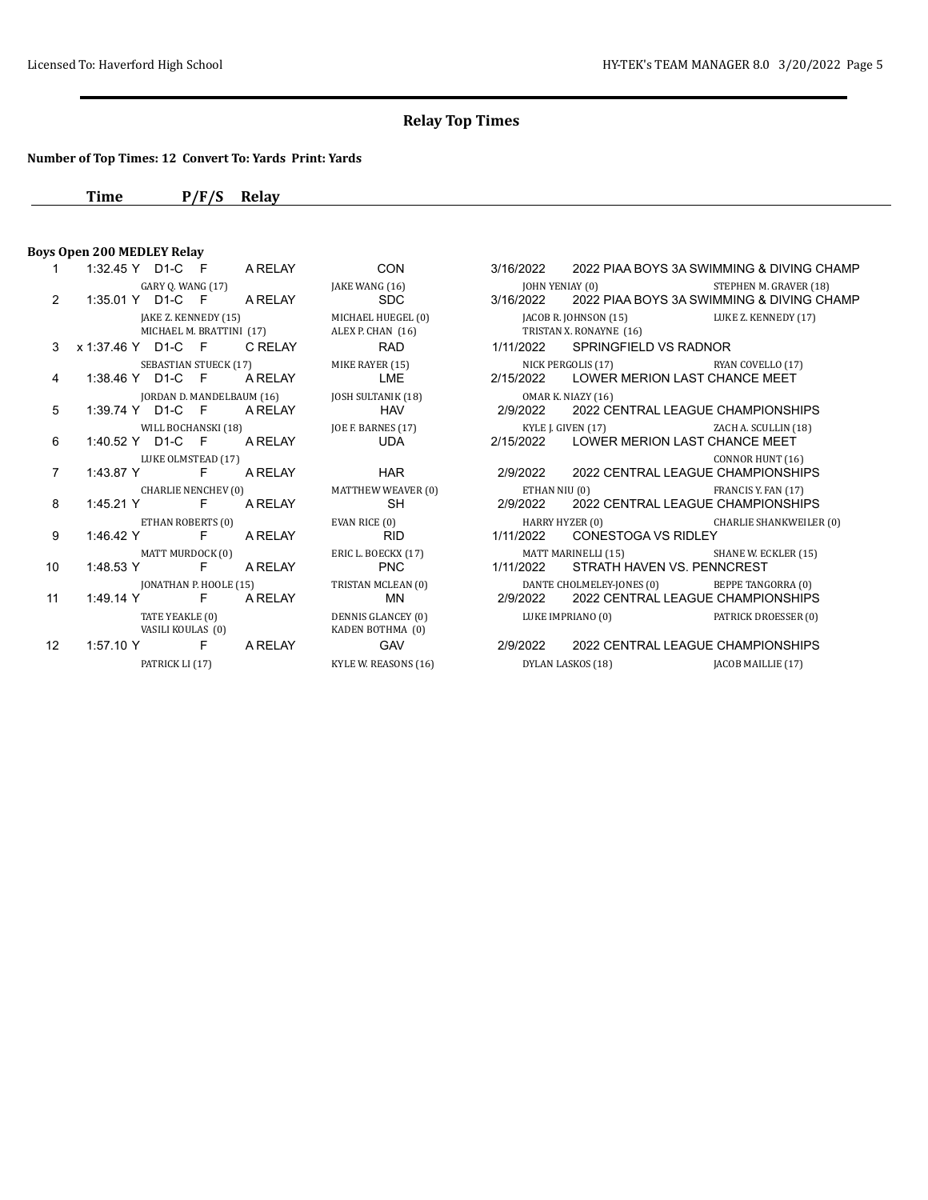## **Number of Top Times: 12 Convert To: Yards Print: Yards**

**Time P/F/S Relay**

## **Boys Open 200 MEDLEY Relay**

| $2^{\circ}$     |                                         |                                      | GARY Q. WANG (17) THE WANG (16) THE VANG (19 MEM AT A RELAY SPOC AT 1:35.01 Y D1-C F A RELAY SDC 3/16/2022 2022 PIAA BOYS 3A SWIMN                                                                                                                                                                                                 |                                                           |     |
|-----------------|-----------------------------------------|--------------------------------------|------------------------------------------------------------------------------------------------------------------------------------------------------------------------------------------------------------------------------------------------------------------------------------------------------------------------------------|-----------------------------------------------------------|-----|
|                 |                                         | MICHAEL M. BRATTINI (17)             | JAKE Z. KENNEDY (15) MICHAEL HUEGEL (0) JACOB R. JOHNSON (15) LUK<br>ALEX P. CHAN (16) TRISTAN X. RONAYNE (16)                                                                                                                                                                                                                     |                                                           |     |
| $\mathcal{S}$   |                                         |                                      | x 1:37.46 Y D1-C F CRELAY RAD                                                                                                                                                                                                                                                                                                      | 1/11/2022 SPRINGFIELD VS RADNOR                           |     |
| $\overline{4}$  |                                         |                                      | SEBASTIAN STUECK (17) MIKE RAYER (15)<br>1:38.46 Y D1-C F A RELAY LME                                                                                                                                                                                                                                                              | NICK PERGOLIS (17) RYA<br>2/15/2022 LOWER MERION LAST CHA |     |
| 5               |                                         |                                      | 1:39.74 Y D1-C F A RELAY JOSH SULTANIK (18) OMAR K. NIAZY (16)<br>1:39.74 Y D1-C F A RELAY HAV HAV 2/9/2022 2022 CENTRAL LEAGUE CH                                                                                                                                                                                                 |                                                           |     |
| 6               |                                         |                                      | WILL BOCHANSKI (18) [30] JOE F. BARNES (17) [31] SACKER LATTER IS A CHEN (17) THE RESERVED AND RESERVED AND RESERVED AND RESERVED AND RESERVED AND RESERVED AND RESERVED AND RESERVED AND RESERVED AND RESERVED AND RESERVED A<br>1:40.52 Y D1-C F ARELAY UDA                                                                      | 2/15/2022 LOWER MERION LAST CHA                           |     |
| $\overline{7}$  | LUKE OLMSTEAD (17)                      |                                      | 1:43.87 Y F ARELAY HAR                                                                                                                                                                                                                                                                                                             | 2/9/2022 2022 CENTRAL LEAGUE CH                           | CON |
| 8               | 1:45.21 Y F A RELAY                     | CHARLIE NENCHEV (0)                  | MATTHEW WEAVER (0) ETHAN NIU (0) FRA<br>SH                                                                                                                                                                                                                                                                                         | 2/9/2022 2022 CENTRAL LEAGUE CH                           |     |
| 9               | 1:46.42 Y F A RELAY                     | ETHAN ROBERTS (0)                    | EVAN RICE (0) CHARRY HYZER (0) CHARRY HYZER (0)<br><b>RID</b>                                                                                                                                                                                                                                                                      | 1/11/2022 CONESTOGA VS RIDLEY                             |     |
| 10              | MATT MURDOCK (0)<br>1:48.53 Y F A RELAY |                                      | ERIC L. BOECKX (17) MATT MARINELLI (15) SHA<br><b>EXAMPLE PNC</b>                                                                                                                                                                                                                                                                  | 1/11/2022 STRATH HAVEN VS. PENN                           |     |
| 11              | 1:49.14 Y F A RELAY                     | JONATHAN P. HOOLE (15)               | TRISTAN MCLEAN (0) DANTE CHOLMELEY-JONES (0) BET<br>MN 2/9/2022 2022 CENTRAL LEAGUE CH                                                                                                                                                                                                                                             | 2/9/2022 2022 CENTRAL LEAGUE CH                           |     |
|                 |                                         | TATE YEAKLE (0)<br>VASILI KOULAS (0) | DENNIS GLANCEY (0) LUKE IMPRIANO (0) PAT<br>KADEN BOTHMA (0)                                                                                                                                                                                                                                                                       |                                                           |     |
| 12 <sup>2</sup> |                                         |                                      | 1:57.10 Y F A RELAY GAV 2/9/2022 2022 CENTRAL LEAGUE CH                                                                                                                                                                                                                                                                            |                                                           |     |
|                 |                                         |                                      | $\mathbf{D}$ $\mathbf{A}$ $\mathbf{D}$ $\mathbf{D}$ $\mathbf{D}$ $\mathbf{D}$ $\mathbf{D}$ $\mathbf{D}$ $\mathbf{D}$ $\mathbf{D}$ $\mathbf{D}$ $\mathbf{D}$ $\mathbf{D}$ $\mathbf{D}$ $\mathbf{D}$ $\mathbf{D}$ $\mathbf{D}$ $\mathbf{D}$ $\mathbf{D}$ $\mathbf{D}$ $\mathbf{D}$ $\mathbf{D}$ $\mathbf{D}$ $\mathbf{D}$ $\mathbf{$ |                                                           |     |

KADEN BOTHMA (0)

| $1 \quad$       |                    |                          | 1:32.45 Y D1-C F ARELAY CON               | 3/16/2022 2022 PIAA BOYS 3A SWIMMING & DIVING CHAMP                                                                                                                                                                                                                                                                                                                                  |                  |
|-----------------|--------------------|--------------------------|-------------------------------------------|--------------------------------------------------------------------------------------------------------------------------------------------------------------------------------------------------------------------------------------------------------------------------------------------------------------------------------------------------------------------------------------|------------------|
|                 |                    |                          | GARY Q. WANG (17) JAKE WANG (16)          | JOHN YENIAY (0) STEPHEN M. GRAVER (18)                                                                                                                                                                                                                                                                                                                                               |                  |
| $\mathcal{P}$   |                    |                          | 1:35.01 Y D1-C F ARELAY SDC               | 3/16/2022 2022 PIAA BOYS 3A SWIMMING & DIVING CHAMP                                                                                                                                                                                                                                                                                                                                  |                  |
|                 |                    |                          | JAKE Z. KENNEDY (15) MICHAEL HUEGEL (0)   | JACOB R. JOHNSON (15) LUKE Z. KENNEDY (17)                                                                                                                                                                                                                                                                                                                                           |                  |
|                 |                    | MICHAEL M. BRATTINI (17) | ALEX P. CHAN (16) TRISTAN X. RONAYNE (16) |                                                                                                                                                                                                                                                                                                                                                                                      |                  |
|                 |                    |                          |                                           | 3 x 1:37.46 Y D1-C F C RELAY RAD 1/11/2022 SPRINGFIELD VS RADNOR                                                                                                                                                                                                                                                                                                                     |                  |
|                 |                    |                          | SEBASTIAN STUECK (17) MIKE RAYER (15)     | NICK PERGOLIS (17) RYAN COVELLO (17)                                                                                                                                                                                                                                                                                                                                                 |                  |
| 4               |                    |                          |                                           | 1:38.46 Y D1-C F A RELAY LME 2/15/2022 LOWER MERION LAST CHANCE MEET                                                                                                                                                                                                                                                                                                                 |                  |
|                 |                    |                          |                                           | 1:39.74 Y D1-C F A RELAY JOSH SULTANIK (18) OMAR K. NIAZY (16)<br>1:39.74 Y D1-C F A RELAY HAV HAV 2/9/2022 2022 CENTRAL LEAGUE CHAMPIONSHIPS                                                                                                                                                                                                                                        |                  |
| 5               |                    |                          |                                           |                                                                                                                                                                                                                                                                                                                                                                                      |                  |
|                 |                    |                          | WILL BOCHANSKI (18) JOE F. BARNES (17)    | KYLE J. GIVEN (17) ZACH A. SCULLIN (18)                                                                                                                                                                                                                                                                                                                                              |                  |
| 6               |                    |                          |                                           | 1:40.52 Y D1-C F A RELAY UDA 2/15/2022 LOWER MERION LAST CHANCE MEET                                                                                                                                                                                                                                                                                                                 |                  |
|                 | LUKE OLMSTEAD (17) |                          |                                           |                                                                                                                                                                                                                                                                                                                                                                                      | CONNOR HUNT (16) |
| $\overline{7}$  |                    |                          |                                           | 1:43.87 Y F A RELAY HAR 2/9/2022 2022 CENTRAL LEAGUE CHAMPIONSHIPS                                                                                                                                                                                                                                                                                                                   |                  |
|                 |                    |                          | CHARLIE NENCHEV (0) MATTHEW WEAVER (0)    | ETHAN NIU (0) FRANCIS Y. FAN (17)                                                                                                                                                                                                                                                                                                                                                    |                  |
| 8               |                    |                          |                                           | 1:45.21 Y F A RELAY SH 2/9/2022 2022 CENTRAL LEAGUE CHAMPIONSHIPS                                                                                                                                                                                                                                                                                                                    |                  |
|                 |                    |                          | ETHAN ROBERTS (0) EVAN RICE (0)           | HARRY HYZER (0) CHARLIE SHANKWEILER (0)                                                                                                                                                                                                                                                                                                                                              |                  |
| 9               |                    |                          | 1:46.42 Y F ARELAY RID                    | 1/11/2022 CONESTOGA VS RIDLEY                                                                                                                                                                                                                                                                                                                                                        |                  |
|                 |                    |                          | MATT MURDOCK (0) ERIC L. BOECKX (17)      | MATT MARINELLI (15) SHANE W. ECKLER (15)                                                                                                                                                                                                                                                                                                                                             |                  |
| 10 <sup>1</sup> |                    |                          | 1:48.53 Y F A RELAY PNC                   | 1/11/2022 STRATH HAVEN VS. PENNCREST                                                                                                                                                                                                                                                                                                                                                 |                  |
|                 |                    |                          | JONATHAN P. HOOLE (15) TRISTAN MCLEAN (0) | DANTE CHOLMELEY-JONES (0) BEPPE TANGORRA (0)                                                                                                                                                                                                                                                                                                                                         |                  |
| 11              |                    | 1:49.14 Y F A RELAY      |                                           |                                                                                                                                                                                                                                                                                                                                                                                      |                  |
|                 |                    |                          |                                           | TATE YEAKLE (0) DENNIS GLANCEY (0) LUKE IMPRIANO (0) PATRICK DROESSER (0)                                                                                                                                                                                                                                                                                                            |                  |
|                 |                    | VASILI KOULAS (0)        | KADEN BOTHMA (0)                          |                                                                                                                                                                                                                                                                                                                                                                                      |                  |
|                 |                    |                          |                                           | $\overline{A}$ $\overline{A}$ $\overline{C}$ $\overline{A}$ $\overline{C}$ $\overline{C}$ $\overline{C}$ $\overline{C}$ $\overline{C}$ $\overline{C}$ $\overline{C}$ $\overline{C}$ $\overline{C}$ $\overline{C}$ $\overline{C}$ $\overline{C}$ $\overline{C}$ $\overline{C}$ $\overline{C}$ $\overline{C}$ $\overline{C}$ $\overline{C}$ $\overline{C}$ $\overline{C}$ $\overline{$ |                  |

GAV 2/9/2022 2022 CENTRAL LEAGUE CHAMPIONSHIPS PATRICK LI (17) KYLE W. REASONS (16) DYLAN LASKOS (18) JACOB MAILLIE (17)